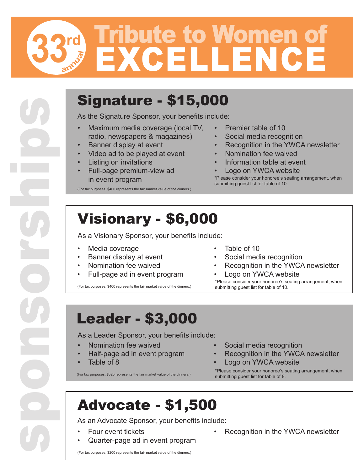## **rd 33** EXCELLENCE Tribute to Women of **annua<sup>l</sup>**

#### Signature - \$15,000

As the Signature Sponsor, your benefits include:

- Maximum media coverage (local TV, radio, newspapers & magazines)
- Banner display at event
- Video ad to be played at event
- **Listing on invitations**
- Full-page premium-view ad in event program

(For tax purposes, \$400 represents the fair market value of the dinners.)

- Premier table of 10
- Social media recognition
- Recognition in the YWCA newsletter
- Nomination fee waived
- Information table at event
- Logo on YWCA website

\*Please consider your honoree's seating arrangement, when submitting guest list for table of 10.

#### Visionary - \$6,000

As a Visionary Sponsor, your benefits include:

Media coverage

sponsorships

- Banner display at event
- Nomination fee waived
- Full-page ad in event program

(For tax purposes, \$400 represents the fair market value of the dinners.)

- Table of 10
- Social media recognition
- Recognition in the YWCA newsletter
- Logo on YWCA website \*Please consider your honoree's seating arrangement, when submitting guest list for table of 10.

#### Leader - \$3,000

As a Leader Sponsor, your benefits include:

- Nomination fee waived
- Half-page ad in event program
- Table of 8

(For tax purposes, \$320 represents the fair market value of the dinners.)

- Social media recognition
- Recognition in the YWCA newsletter
- Logo on YWCA website

\*Please consider your honoree's seating arrangement, when submitting guest list for table of 8.

### Advocate - \$1,500

As an Advocate Sponsor, your benefits include:

- Four event tickets
- Quarter-page ad in event program

(For tax purposes, \$200 represents the fair market value of the dinners.)

- Recognition in the YWCA newsletter
	-